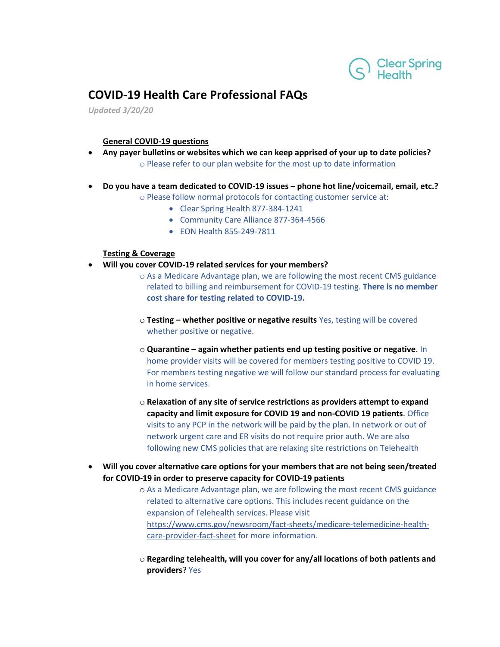

## **COVID-19 Health Care Professional FAQs**

*Updated 3/20/20*

## **General COVID-19 questions**

- **Any payer bulletins or websites which we can keep apprised of your up to date policies?** o Please refer to our plan website for the most up to date information
- **Do you have a team dedicated to COVID-19 issues – phone hot line/voicemail, email, etc.?**

o Please follow normal protocols for contacting customer service at:

- Clear Spring Health 877-384-1241
- Community Care Alliance 877-364-4566
- EON Health 855-249-7811

## **Testing & Coverage**

- **Will you cover COVID-19 related services for your members?**
	- o As a Medicare Advantage plan, we are following the most recent CMS guidance related to billing and reimbursement for COVID-19 testing. **There is no member cost share for testing related to COVID-19.**
	- o **Testing – whether positive or negative results** Yes, testing will be covered whether positive or negative.
	- o **Quarantine – again whether patients end up testing positive or negative**. In home provider visits will be covered for members testing positive to COVID 19. For members testing negative we will follow our standard process for evaluating in home services.
	- o **Relaxation of any site of service restrictions as providers attempt to expand capacity and limit exposure for COVID 19 and non-COVID 19 patients**. Office visits to any PCP in the network will be paid by the plan. In network or out of network urgent care and ER visits do not require prior auth. We are also following new CMS policies that are relaxing site restrictions on Telehealth
- **Will you cover alternative care options for your members that are not being seen/treated for COVID-19 in order to preserve capacity for COVID-19 patients**
	- o As a Medicare Advantage plan, we are following the most recent CMS guidance related to alternative care options. This includes recent guidance on the expansion of Telehealth services. Please visit [https://www.cms.gov/newsroom/fact-sheets/medicare-telemedicine-health](https://www.cms.gov/newsroom/fact-sheets/medicare-telemedicine-health-care-provider-fact-sheet)[care-provider-fact-sheet](https://www.cms.gov/newsroom/fact-sheets/medicare-telemedicine-health-care-provider-fact-sheet) for more information.
	- o **Regarding telehealth, will you cover for any/all locations of both patients and providers**? Yes